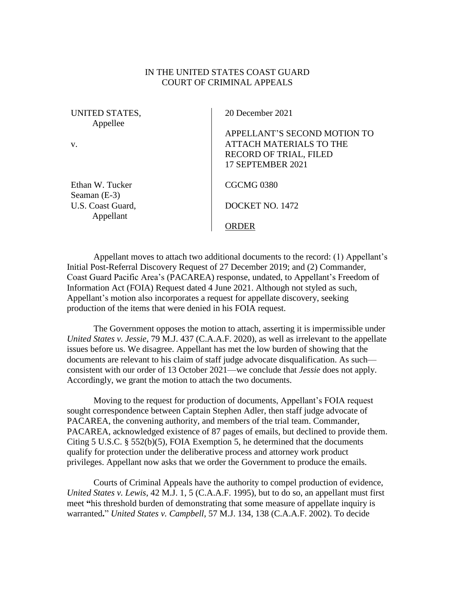## IN THE UNITED STATES COAST GUARD COURT OF CRIMINAL APPEALS

| UNITED STATES,<br>Appellee        | 20 December 2021                                                                                                     |
|-----------------------------------|----------------------------------------------------------------------------------------------------------------------|
| V.                                | APPELLANT'S SECOND MOTION TO<br><b>ATTACH MATERIALS TO THE</b><br><b>RECORD OF TRIAL, FILED</b><br>17 SEPTEMBER 2021 |
| Ethan W. Tucker<br>Seaman $(E-3)$ | CGCMG <sub>0380</sub>                                                                                                |
| U.S. Coast Guard,<br>Appellant    | DOCKET NO. 1472                                                                                                      |
|                                   | RDER                                                                                                                 |

Appellant moves to attach two additional documents to the record: (1) Appellant's Initial Post-Referral Discovery Request of 27 December 2019; and (2) Commander, Coast Guard Pacific Area's (PACAREA) response, undated, to Appellant's Freedom of Information Act (FOIA) Request dated 4 June 2021. Although not styled as such, Appellant's motion also incorporates a request for appellate discovery, seeking production of the items that were denied in his FOIA request.

The Government opposes the motion to attach, asserting it is impermissible under *United States v. Jessie*, 79 M.J. 437 (C.A.A.F. 2020), as well as irrelevant to the appellate issues before us. We disagree. Appellant has met the low burden of showing that the documents are relevant to his claim of staff judge advocate disqualification. As such consistent with our order of 13 October 2021—we conclude that *Jessie* does not apply. Accordingly, we grant the motion to attach the two documents.

Moving to the request for production of documents, Appellant's FOIA request sought correspondence between Captain Stephen Adler, then staff judge advocate of PACAREA, the convening authority, and members of the trial team. Commander, PACAREA, acknowledged existence of 87 pages of emails, but declined to provide them. Citing 5 U.S.C. § 552(b)(5), FOIA Exemption 5, he determined that the documents qualify for protection under the deliberative process and attorney work product privileges. Appellant now asks that we order the Government to produce the emails.

Courts of Criminal Appeals have the authority to compel production of evidence, *United States v. Lewis*, 42 M.J. 1, 5 (C.A.A.F. 1995), but to do so, an appellant must first meet **"**his threshold burden of demonstrating that some measure of appellate inquiry is warranted**.**" *United States v. Campbell*, 57 M.J. 134, 138 (C.A.A.F. 2002). To decide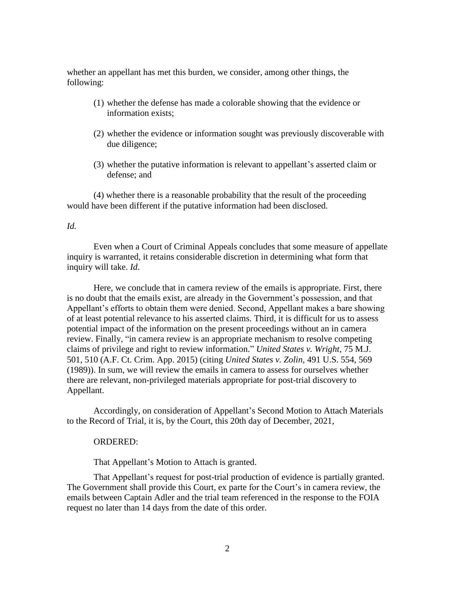whether an appellant has met this burden, we consider, among other things, the following:

- (1) whether the defense has made a colorable showing that the evidence or information exists;
- (2) whether the evidence or information sought was previously discoverable with due diligence;
- (3) whether the putative information is relevant to appellant's asserted claim or defense; and

(4) whether there is a reasonable probability that the result of the proceeding would have been different if the putative information had been disclosed.

## *Id.*

Even when a Court of Criminal Appeals concludes that some measure of appellate inquiry is warranted, it retains considerable discretion in determining what form that inquiry will take. *Id*.

Here, we conclude that in camera review of the emails is appropriate. First, there is no doubt that the emails exist, are already in the Government's possession, and that Appellant's efforts to obtain them were denied. Second, Appellant makes a bare showing of at least potential relevance to his asserted claims. Third, it is difficult for us to assess potential impact of the information on the present proceedings without an in camera review. Finally, "in camera review is an appropriate mechanism to resolve competing claims of privilege and right to review information." *United States v. Wright*, 75 M.J. 501, 510 (A.F. Ct. Crim. App. 2015) (citing *United States v. Zolin,* 491 U.S. 554, 569 (1989)). In sum, we will review the emails in camera to assess for ourselves whether there are relevant, non-privileged materials appropriate for post-trial discovery to Appellant.

Accordingly, on consideration of Appellant's Second Motion to Attach Materials to the Record of Trial, it is, by the Court, this 20th day of December, 2021,

## ORDERED:

That Appellant's Motion to Attach is granted.

That Appellant's request for post-trial production of evidence is partially granted. The Government shall provide this Court, ex parte for the Court's in camera review, the emails between Captain Adler and the trial team referenced in the response to the FOIA request no later than 14 days from the date of this order.